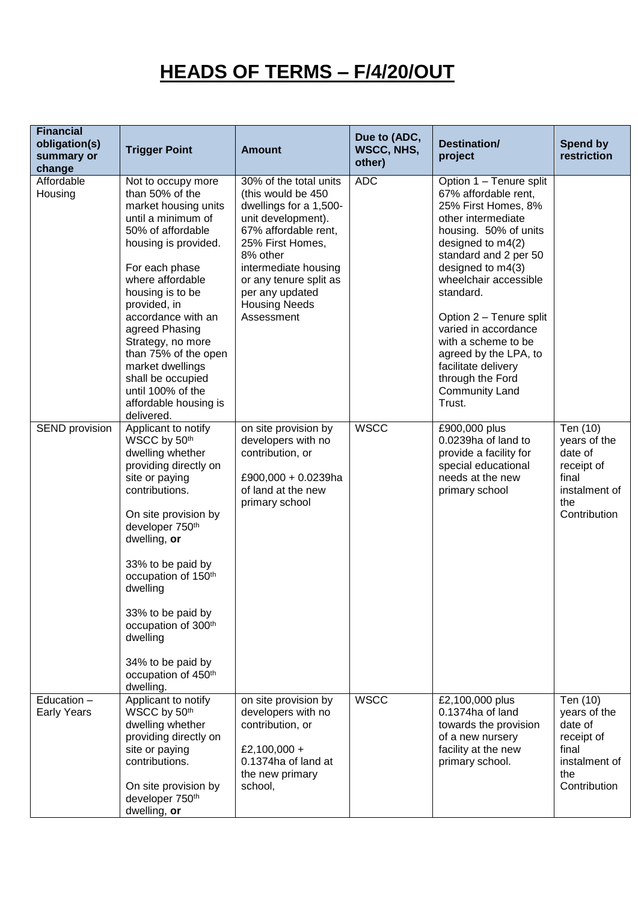## **HEADS OF TERMS – F/4/20/OUT**

| <b>Financial</b><br>obligation(s)<br>summary or<br>change | <b>Trigger Point</b>                                                                                                                                                                                                                                                                                                                                                                                 | <b>Amount</b>                                                                                                                                                                                                                                                   | Due to (ADC,<br>WSCC, NHS,<br>other) | Destination/<br>project                                                                                                                                                                                                                                                                                                                                                                                         | <b>Spend by</b><br>restriction                                                                     |
|-----------------------------------------------------------|------------------------------------------------------------------------------------------------------------------------------------------------------------------------------------------------------------------------------------------------------------------------------------------------------------------------------------------------------------------------------------------------------|-----------------------------------------------------------------------------------------------------------------------------------------------------------------------------------------------------------------------------------------------------------------|--------------------------------------|-----------------------------------------------------------------------------------------------------------------------------------------------------------------------------------------------------------------------------------------------------------------------------------------------------------------------------------------------------------------------------------------------------------------|----------------------------------------------------------------------------------------------------|
| Affordable<br>Housing                                     | Not to occupy more<br>than 50% of the<br>market housing units<br>until a minimum of<br>50% of affordable<br>housing is provided.<br>For each phase<br>where affordable<br>housing is to be<br>provided, in<br>accordance with an<br>agreed Phasing<br>Strategy, no more<br>than 75% of the open<br>market dwellings<br>shall be occupied<br>until 100% of the<br>affordable housing is<br>delivered. | 30% of the total units<br>(this would be 450<br>dwellings for a 1,500-<br>unit development).<br>67% affordable rent,<br>25% First Homes,<br>8% other<br>intermediate housing<br>or any tenure split as<br>per any updated<br><b>Housing Needs</b><br>Assessment | <b>ADC</b>                           | Option 1 - Tenure split<br>67% affordable rent,<br>25% First Homes, 8%<br>other intermediate<br>housing. 50% of units<br>designed to m4(2)<br>standard and 2 per 50<br>designed to m4(3)<br>wheelchair accessible<br>standard.<br>Option 2 - Tenure split<br>varied in accordance<br>with a scheme to be<br>agreed by the LPA, to<br>facilitate delivery<br>through the Ford<br><b>Community Land</b><br>Trust. |                                                                                                    |
| SEND provision                                            | Applicant to notify<br>WSCC by 50th<br>dwelling whether<br>providing directly on<br>site or paying<br>contributions.<br>On site provision by<br>developer 750 <sup>th</sup><br>dwelling, or<br>33% to be paid by<br>occupation of 150 <sup>th</sup><br>dwelling<br>33% to be paid by<br>occupation of 300th<br>dwelling<br>34% to be paid by<br>occupation of 450th<br>dwelling.                     | on site provision by<br>developers with no<br>contribution, or<br>£900,000 + 0.0239ha<br>of land at the new<br>primary school                                                                                                                                   | <b>WSCC</b>                          | £900,000 plus<br>0.0239ha of land to<br>provide a facility for<br>special educational<br>needs at the new<br>primary school                                                                                                                                                                                                                                                                                     | Ten (10)<br>years of the<br>date of<br>receipt of<br>final<br>instalment of<br>the<br>Contribution |
| Education -<br><b>Early Years</b>                         | Applicant to notify<br>WSCC by 50th<br>dwelling whether<br>providing directly on<br>site or paying<br>contributions.<br>On site provision by<br>developer 750 <sup>th</sup><br>dwelling, or                                                                                                                                                                                                          | on site provision by<br>developers with no<br>contribution, or<br>£2,100,000 +<br>0.1374ha of land at<br>the new primary<br>school,                                                                                                                             | <b>WSCC</b>                          | £2,100,000 plus<br>0.1374ha of land<br>towards the provision<br>of a new nursery<br>facility at the new<br>primary school.                                                                                                                                                                                                                                                                                      | Ten (10)<br>years of the<br>date of<br>receipt of<br>final<br>instalment of<br>the<br>Contribution |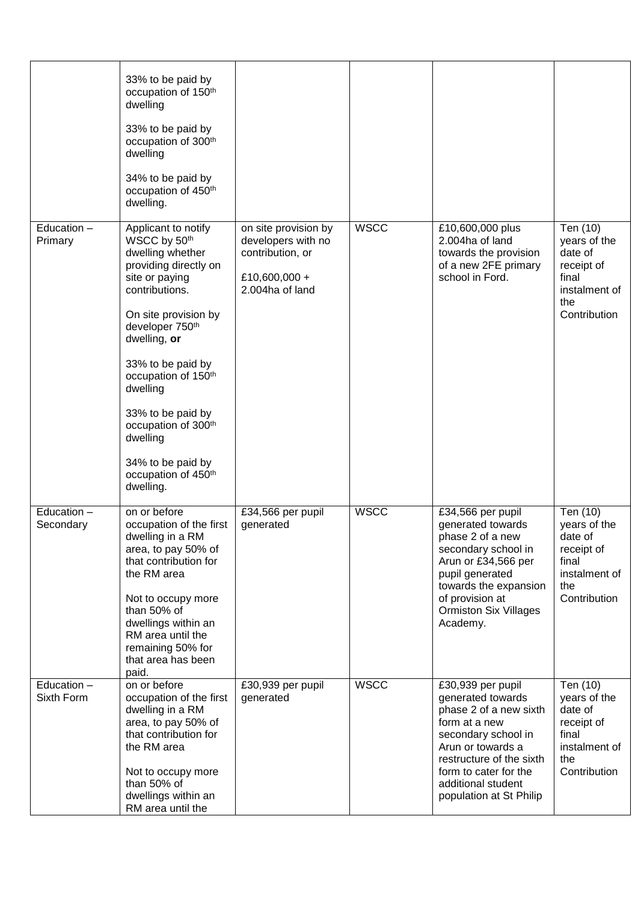|                           | 33% to be paid by<br>occupation of 150 <sup>th</sup><br>dwelling<br>33% to be paid by<br>occupation of 300th<br>dwelling<br>34% to be paid by<br>occupation of 450 <sup>th</sup><br>dwelling.                                                                                                                                                                                    |                                                                                                    |             |                                                                                                                                                                                                                                     |                                                                                                    |
|---------------------------|----------------------------------------------------------------------------------------------------------------------------------------------------------------------------------------------------------------------------------------------------------------------------------------------------------------------------------------------------------------------------------|----------------------------------------------------------------------------------------------------|-------------|-------------------------------------------------------------------------------------------------------------------------------------------------------------------------------------------------------------------------------------|----------------------------------------------------------------------------------------------------|
| Education -<br>Primary    | Applicant to notify<br>WSCC by 50th<br>dwelling whether<br>providing directly on<br>site or paying<br>contributions.<br>On site provision by<br>developer 750 <sup>th</sup><br>dwelling, or<br>33% to be paid by<br>occupation of 150 <sup>th</sup><br>dwelling<br>33% to be paid by<br>occupation of 300th<br>dwelling<br>34% to be paid by<br>occupation of 450th<br>dwelling. | on site provision by<br>developers with no<br>contribution, or<br>£10,600,000 +<br>2.004ha of land | <b>WSCC</b> | £10,600,000 plus<br>2.004ha of land<br>towards the provision<br>of a new 2FE primary<br>school in Ford.                                                                                                                             | Ten (10)<br>years of the<br>date of<br>receipt of<br>final<br>instalment of<br>the<br>Contribution |
| Education -<br>Secondary  | on or before<br>occupation of the first<br>dwelling in a RM<br>area, to pay 50% of<br>that contribution for<br>the RM area<br>Not to occupy more<br>than 50% of<br>dwellings within an<br>RM area until the<br>remaining 50% for<br>that area has been<br>paid.                                                                                                                  | £34,566 per pupil<br>generated                                                                     | <b>WSCC</b> | £34,566 per pupil<br>generated towards<br>phase 2 of a new<br>secondary school in<br>Arun or £34,566 per<br>pupil generated<br>towards the expansion<br>of provision at<br><b>Ormiston Six Villages</b><br>Academy.                 | Ten (10)<br>years of the<br>date of<br>receipt of<br>final<br>instalment of<br>the<br>Contribution |
| Education -<br>Sixth Form | on or before<br>occupation of the first<br>dwelling in a RM<br>area, to pay 50% of<br>that contribution for<br>the RM area<br>Not to occupy more<br>than 50% of<br>dwellings within an<br>RM area until the                                                                                                                                                                      | £30,939 per pupil<br>generated                                                                     | <b>WSCC</b> | £30,939 per pupil<br>generated towards<br>phase 2 of a new sixth<br>form at a new<br>secondary school in<br>Arun or towards a<br>restructure of the sixth<br>form to cater for the<br>additional student<br>population at St Philip | Ten (10)<br>years of the<br>date of<br>receipt of<br>final<br>instalment of<br>the<br>Contribution |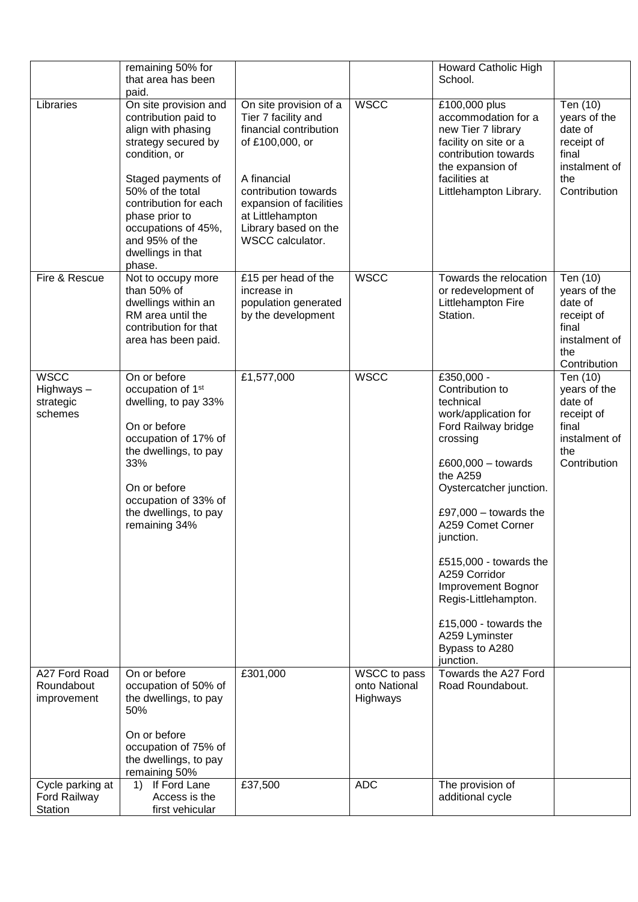|                                                  | remaining 50% for                                                                                                                                                                                                               |                                                                                                                 |                                           | <b>Howard Catholic High</b>                                                                                                                                                                                                                                                                                                                                                                          |                                                                                                    |
|--------------------------------------------------|---------------------------------------------------------------------------------------------------------------------------------------------------------------------------------------------------------------------------------|-----------------------------------------------------------------------------------------------------------------|-------------------------------------------|------------------------------------------------------------------------------------------------------------------------------------------------------------------------------------------------------------------------------------------------------------------------------------------------------------------------------------------------------------------------------------------------------|----------------------------------------------------------------------------------------------------|
|                                                  | that area has been                                                                                                                                                                                                              |                                                                                                                 |                                           | School.                                                                                                                                                                                                                                                                                                                                                                                              |                                                                                                    |
|                                                  | paid.                                                                                                                                                                                                                           |                                                                                                                 |                                           |                                                                                                                                                                                                                                                                                                                                                                                                      |                                                                                                    |
| Libraries                                        | On site provision and<br>contribution paid to<br>align with phasing<br>strategy secured by<br>condition, or<br>Staged payments of                                                                                               | On site provision of a<br>Tier 7 facility and<br>financial contribution<br>of £100,000, or<br>A financial       | <b>WSCC</b>                               | £100,000 plus<br>accommodation for a<br>new Tier 7 library<br>facility on site or a<br>contribution towards<br>the expansion of<br>facilities at                                                                                                                                                                                                                                                     | Ten (10)<br>years of the<br>date of<br>receipt of<br>final<br>instalment of<br>the                 |
|                                                  | 50% of the total<br>contribution for each<br>phase prior to<br>occupations of 45%,<br>and 95% of the<br>dwellings in that<br>phase.                                                                                             | contribution towards<br>expansion of facilities<br>at Littlehampton<br>Library based on the<br>WSCC calculator. |                                           | Littlehampton Library.                                                                                                                                                                                                                                                                                                                                                                               | Contribution                                                                                       |
| Fire & Rescue                                    | Not to occupy more<br>than 50% of<br>dwellings within an<br>RM area until the<br>contribution for that<br>area has been paid.                                                                                                   | £15 per head of the<br>increase in<br>population generated<br>by the development                                | <b>WSCC</b>                               | Towards the relocation<br>or redevelopment of<br>Littlehampton Fire<br>Station.                                                                                                                                                                                                                                                                                                                      | Ten (10)<br>years of the<br>date of<br>receipt of<br>final<br>instalment of<br>the<br>Contribution |
| <b>WSCC</b><br>Highways-<br>strategic<br>schemes | On or before<br>occupation of 1 <sup>st</sup><br>dwelling, to pay 33%<br>On or before<br>occupation of 17% of<br>the dwellings, to pay<br>33%<br>On or before<br>occupation of 33% of<br>the dwellings, to pay<br>remaining 34% | £1,577,000                                                                                                      | <b>WSCC</b>                               | £350,000 -<br>Contribution to<br>technical<br>work/application for<br>Ford Railway bridge<br>crossing<br>£600,000 $-$ towards<br>the A259<br>Oystercatcher junction.<br>£97,000 $-$ towards the<br>A259 Comet Corner<br>junction.<br>£515,000 - towards the<br>A259 Corridor<br>Improvement Bognor<br>Regis-Littlehampton.<br>£15,000 - towards the<br>A259 Lyminster<br>Bypass to A280<br>junction. | Ten (10)<br>years of the<br>date of<br>receipt of<br>final<br>instalment of<br>the<br>Contribution |
| A27 Ford Road<br>Roundabout<br>improvement       | On or before<br>occupation of 50% of<br>the dwellings, to pay<br>50%<br>On or before<br>occupation of 75% of<br>the dwellings, to pay<br>remaining 50%                                                                          | £301,000                                                                                                        | WSCC to pass<br>onto National<br>Highways | Towards the A27 Ford<br>Road Roundabout.                                                                                                                                                                                                                                                                                                                                                             |                                                                                                    |
| Cycle parking at<br>Ford Railway<br>Station      | 1) If Ford Lane<br>Access is the<br>first vehicular                                                                                                                                                                             | £37,500                                                                                                         | <b>ADC</b>                                | The provision of<br>additional cycle                                                                                                                                                                                                                                                                                                                                                                 |                                                                                                    |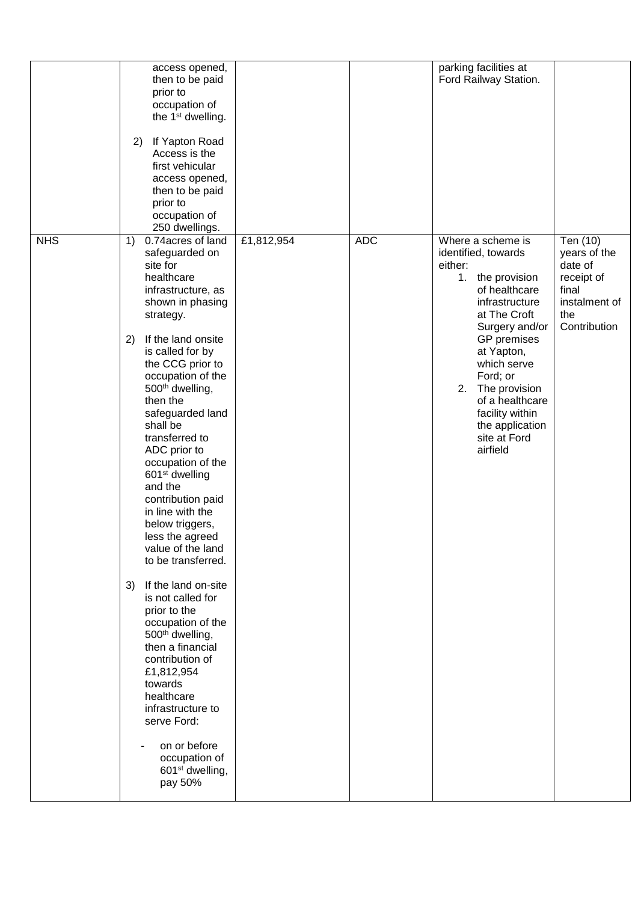|            | access opened,<br>then to be paid<br>prior to<br>occupation of<br>the 1 <sup>st</sup> dwelling.<br>If Yapton Road<br>2)<br>Access is the<br>first vehicular<br>access opened,<br>then to be paid<br>prior to<br>occupation of<br>250 dwellings.                                                                                                                                                                                                                                                                                                                                                                                                                                                                                                                                                                      |            |            | parking facilities at<br>Ford Railway Station.                                                                                                                                                                                                                                                                   |                                                                                                    |
|------------|----------------------------------------------------------------------------------------------------------------------------------------------------------------------------------------------------------------------------------------------------------------------------------------------------------------------------------------------------------------------------------------------------------------------------------------------------------------------------------------------------------------------------------------------------------------------------------------------------------------------------------------------------------------------------------------------------------------------------------------------------------------------------------------------------------------------|------------|------------|------------------------------------------------------------------------------------------------------------------------------------------------------------------------------------------------------------------------------------------------------------------------------------------------------------------|----------------------------------------------------------------------------------------------------|
| <b>NHS</b> | 0.74 acres of land<br>1)<br>safeguarded on<br>site for<br>healthcare<br>infrastructure, as<br>shown in phasing<br>strategy.<br>If the land onsite<br>2)<br>is called for by<br>the CCG prior to<br>occupation of the<br>500th dwelling,<br>then the<br>safeguarded land<br>shall be<br>transferred to<br>ADC prior to<br>occupation of the<br>601 <sup>st</sup> dwelling<br>and the<br>contribution paid<br>in line with the<br>below triggers,<br>less the agreed<br>value of the land<br>to be transferred.<br>If the land on-site<br>3)<br>is not called for<br>prior to the<br>occupation of the<br>500th dwelling,<br>then a financial<br>contribution of<br>£1,812,954<br>towards<br>healthcare<br>infrastructure to<br>serve Ford:<br>on or before<br>occupation of<br>601 <sup>st</sup> dwelling,<br>pay 50% | £1,812,954 | <b>ADC</b> | Where a scheme is<br>identified, towards<br>either:<br>1. the provision<br>of healthcare<br>infrastructure<br>at The Croft<br>Surgery and/or<br>GP premises<br>at Yapton,<br>which serve<br>Ford; or<br>2.<br>The provision<br>of a healthcare<br>facility within<br>the application<br>site at Ford<br>airfield | Ten (10)<br>years of the<br>date of<br>receipt of<br>final<br>instalment of<br>the<br>Contribution |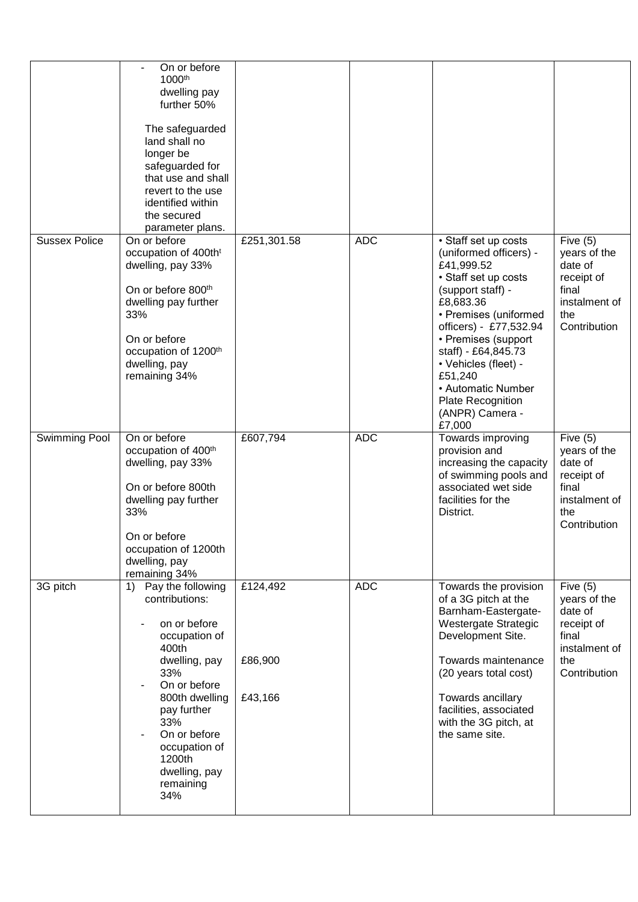|               | On or before<br>1000 <sup>th</sup><br>dwelling pay<br>further 50%<br>The safeguarded<br>land shall no<br>longer be<br>safeguarded for<br>that use and shall<br>revert to the use<br>identified within<br>the secured<br>parameter plans.            |                                |            |                                                                                                                                                                                                                                                                                                                                    |                                                                                                      |
|---------------|-----------------------------------------------------------------------------------------------------------------------------------------------------------------------------------------------------------------------------------------------------|--------------------------------|------------|------------------------------------------------------------------------------------------------------------------------------------------------------------------------------------------------------------------------------------------------------------------------------------------------------------------------------------|------------------------------------------------------------------------------------------------------|
| Sussex Police | On or before<br>occupation of 400th <sup>t</sup><br>dwelling, pay 33%<br>On or before 800 <sup>th</sup><br>dwelling pay further<br>33%<br>On or before<br>occupation of 1200 <sup>th</sup><br>dwelling, pay<br>remaining 34%                        | £251,301.58                    | <b>ADC</b> | • Staff set up costs<br>(uniformed officers) -<br>£41,999.52<br>• Staff set up costs<br>(support staff) -<br>£8,683.36<br>• Premises (uniformed<br>officers) - £77,532.94<br>• Premises (support<br>staff) - £64,845.73<br>• Vehicles (fleet) -<br>£51,240<br>• Automatic Number<br>Plate Recognition<br>(ANPR) Camera -<br>£7,000 | Five $(5)$<br>years of the<br>date of<br>receipt of<br>final<br>instalment of<br>the<br>Contribution |
| Swimming Pool | On or before<br>occupation of 400 <sup>th</sup><br>dwelling, pay 33%<br>On or before 800th<br>dwelling pay further<br>33%<br>On or before<br>occupation of 1200th<br>dwelling, pay<br>remaining 34%                                                 | £607,794                       | <b>ADC</b> | Towards improving<br>provision and<br>increasing the capacity<br>of swimming pools and<br>associated wet side<br>facilities for the<br>District.                                                                                                                                                                                   | Five $(5)$<br>years of the<br>date of<br>receipt of<br>final<br>instalment of<br>the<br>Contribution |
| 3G pitch      | Pay the following<br>1)<br>contributions:<br>on or before<br>occupation of<br>400th<br>dwelling, pay<br>33%<br>On or before<br>800th dwelling<br>pay further<br>33%<br>On or before<br>occupation of<br>1200th<br>dwelling, pay<br>remaining<br>34% | £124,492<br>£86,900<br>£43,166 | <b>ADC</b> | Towards the provision<br>of a 3G pitch at the<br>Barnham-Eastergate-<br>Westergate Strategic<br>Development Site.<br>Towards maintenance<br>(20 years total cost)<br>Towards ancillary<br>facilities, associated<br>with the 3G pitch, at<br>the same site.                                                                        | Five $(5)$<br>years of the<br>date of<br>receipt of<br>final<br>instalment of<br>the<br>Contribution |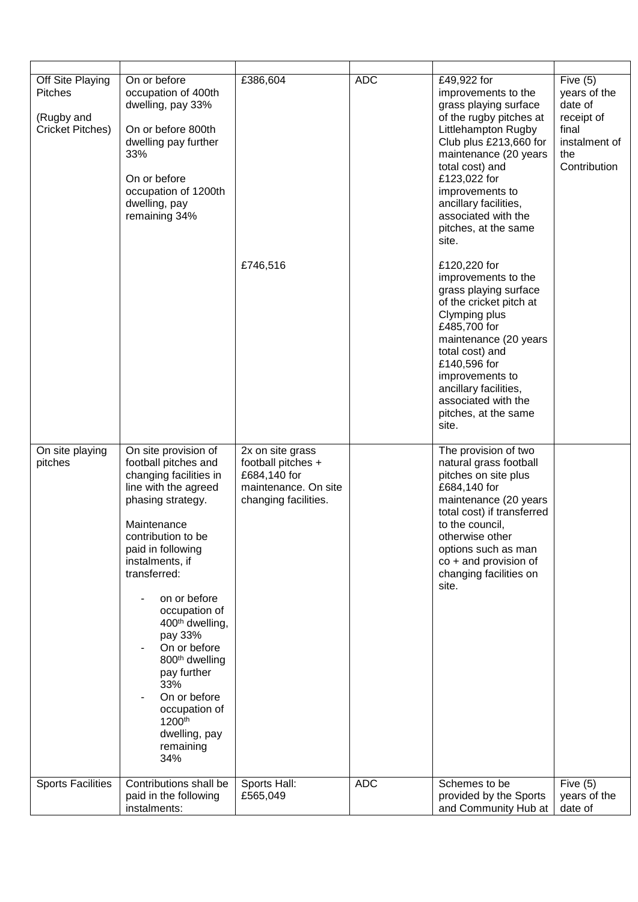| Off Site Playing<br><b>Pitches</b><br>(Rugby and<br>Cricket Pitches) | On or before<br>occupation of 400th<br>dwelling, pay 33%<br>On or before 800th<br>dwelling pay further<br>33%<br>On or before<br>occupation of 1200th<br>dwelling, pay<br>remaining 34%                                                                                                                                                                                                                                                                     | £386,604<br>£746,516                                                                                   | <b>ADC</b> | £49,922 for<br>improvements to the<br>grass playing surface<br>of the rugby pitches at<br>Littlehampton Rugby<br>Club plus £213,660 for<br>maintenance (20 years<br>total cost) and<br>£123,022 for<br>improvements to<br>ancillary facilities,<br>associated with the<br>pitches, at the same<br>site.<br>£120,220 for<br>improvements to the<br>grass playing surface<br>of the cricket pitch at<br>Clymping plus<br>£485,700 for<br>maintenance (20 years<br>total cost) and<br>£140,596 for<br>improvements to<br>ancillary facilities,<br>associated with the<br>pitches, at the same<br>site. | Five $(5)$<br>years of the<br>date of<br>receipt of<br>final<br>instalment of<br>the<br>Contribution |
|----------------------------------------------------------------------|-------------------------------------------------------------------------------------------------------------------------------------------------------------------------------------------------------------------------------------------------------------------------------------------------------------------------------------------------------------------------------------------------------------------------------------------------------------|--------------------------------------------------------------------------------------------------------|------------|-----------------------------------------------------------------------------------------------------------------------------------------------------------------------------------------------------------------------------------------------------------------------------------------------------------------------------------------------------------------------------------------------------------------------------------------------------------------------------------------------------------------------------------------------------------------------------------------------------|------------------------------------------------------------------------------------------------------|
| On site playing<br>pitches                                           | On site provision of<br>football pitches and<br>changing facilities in<br>line with the agreed<br>phasing strategy.<br>Maintenance<br>contribution to be<br>paid in following<br>instalments, if<br>transferred:<br>on or before<br>occupation of<br>400 <sup>th</sup> dwelling,<br>pay 33%<br>On or before<br>800 <sup>th</sup> dwelling<br>pay further<br>33%<br>On or before<br>occupation of<br>1200 <sup>th</sup><br>dwelling, pay<br>remaining<br>34% | 2x on site grass<br>football pitches +<br>£684,140 for<br>maintenance. On site<br>changing facilities. |            | The provision of two<br>natural grass football<br>pitches on site plus<br>£684,140 for<br>maintenance (20 years<br>total cost) if transferred<br>to the council,<br>otherwise other<br>options such as man<br>co + and provision of<br>changing facilities on<br>site.                                                                                                                                                                                                                                                                                                                              |                                                                                                      |
| <b>Sports Facilities</b>                                             | Contributions shall be<br>paid in the following<br>instalments:                                                                                                                                                                                                                                                                                                                                                                                             | Sports Hall:<br>£565,049                                                                               | <b>ADC</b> | Schemes to be<br>provided by the Sports<br>and Community Hub at                                                                                                                                                                                                                                                                                                                                                                                                                                                                                                                                     | Five $(5)$<br>years of the<br>date of                                                                |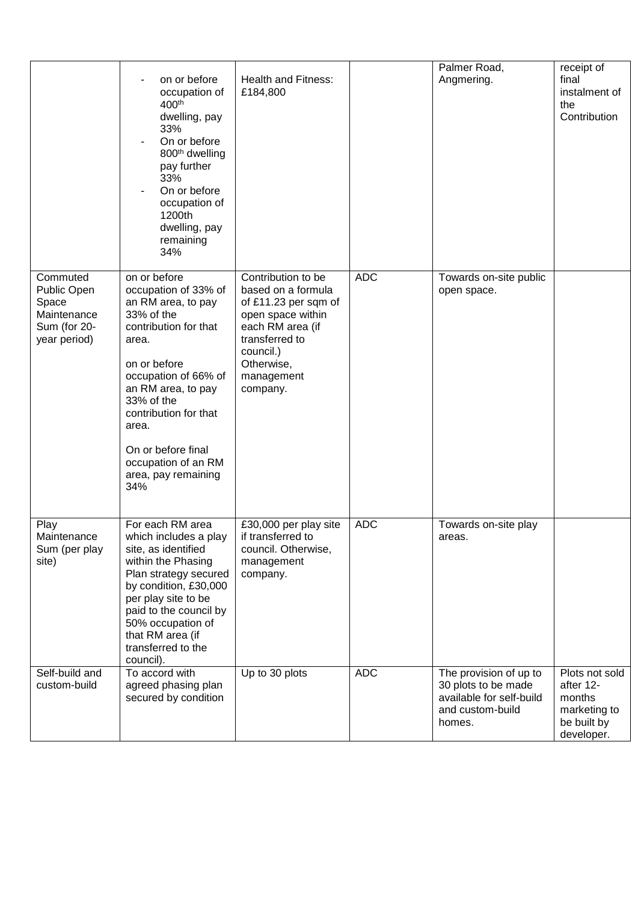|                                                                                 | on or before<br>occupation of<br>400 <sup>th</sup><br>dwelling, pay<br>33%<br>On or before<br>800 <sup>th</sup> dwelling<br>pay further<br>33%<br>On or before<br>occupation of<br>1200th<br>dwelling, pay<br>remaining<br>34%                                                                      | <b>Health and Fitness:</b><br>£184,800                                                                                                                                           |            | Palmer Road,<br>Angmering.                                                                              | receipt of<br>final<br>instalment of<br>the<br>Contribution                        |
|---------------------------------------------------------------------------------|-----------------------------------------------------------------------------------------------------------------------------------------------------------------------------------------------------------------------------------------------------------------------------------------------------|----------------------------------------------------------------------------------------------------------------------------------------------------------------------------------|------------|---------------------------------------------------------------------------------------------------------|------------------------------------------------------------------------------------|
| Commuted<br>Public Open<br>Space<br>Maintenance<br>Sum (for 20-<br>year period) | on or before<br>occupation of 33% of<br>an RM area, to pay<br>33% of the<br>contribution for that<br>area.<br>on or before<br>occupation of 66% of<br>an RM area, to pay<br>33% of the<br>contribution for that<br>area.<br>On or before final<br>occupation of an RM<br>area, pay remaining<br>34% | Contribution to be<br>based on a formula<br>of £11.23 per sqm of<br>open space within<br>each RM area (if<br>transferred to<br>council.)<br>Otherwise,<br>management<br>company. | <b>ADC</b> | Towards on-site public<br>open space.                                                                   |                                                                                    |
| Play<br>Maintenance<br>Sum (per play<br>site)                                   | For each RM area<br>which includes a play<br>site, as identified<br>within the Phasing<br>Plan strategy secured<br>by condition, £30,000<br>per play site to be<br>paid to the council by<br>50% occupation of<br>that RM area (if<br>transferred to the<br>council).                               | £30,000 per play site<br>if transferred to<br>council. Otherwise,<br>management<br>company.                                                                                      | <b>ADC</b> | Towards on-site play<br>areas.                                                                          |                                                                                    |
| Self-build and<br>custom-build                                                  | To accord with<br>agreed phasing plan<br>secured by condition                                                                                                                                                                                                                                       | Up to 30 plots                                                                                                                                                                   | <b>ADC</b> | The provision of up to<br>30 plots to be made<br>available for self-build<br>and custom-build<br>homes. | Plots not sold<br>after 12-<br>months<br>marketing to<br>be built by<br>developer. |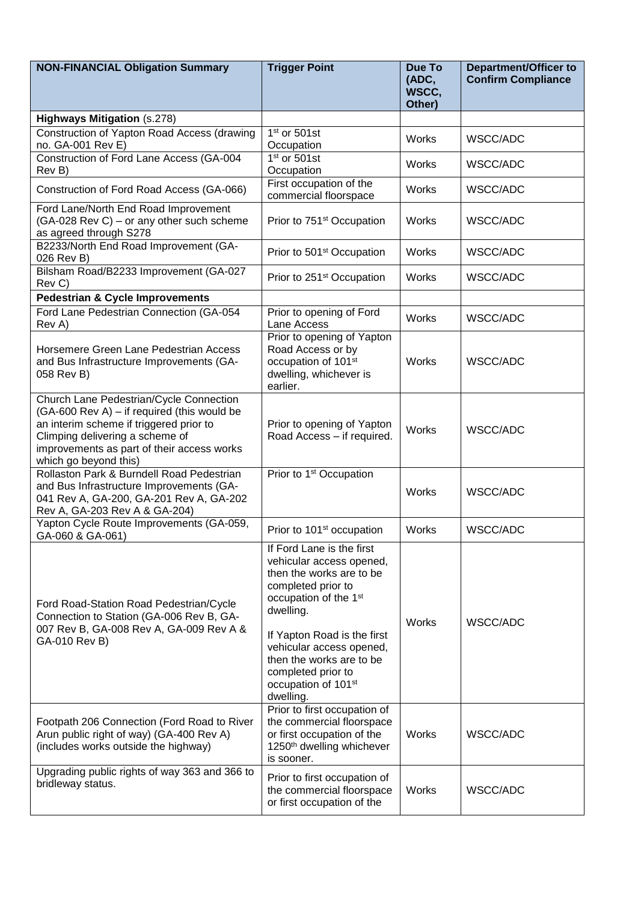| <b>NON-FINANCIAL Obligation Summary</b>                                                                                                                                                                                                     | <b>Trigger Point</b>                                                                                                                                                                                                                                                                           | Due To<br>(ADC,<br>WSCC,<br>Other) | <b>Department/Officer to</b><br><b>Confirm Compliance</b> |
|---------------------------------------------------------------------------------------------------------------------------------------------------------------------------------------------------------------------------------------------|------------------------------------------------------------------------------------------------------------------------------------------------------------------------------------------------------------------------------------------------------------------------------------------------|------------------------------------|-----------------------------------------------------------|
| <b>Highways Mitigation (s.278)</b>                                                                                                                                                                                                          |                                                                                                                                                                                                                                                                                                |                                    |                                                           |
| Construction of Yapton Road Access (drawing<br>no. GA-001 Rev E)                                                                                                                                                                            | $1st$ or 501st<br>Occupation                                                                                                                                                                                                                                                                   | Works                              | WSCC/ADC                                                  |
| Construction of Ford Lane Access (GA-004<br>Rev B)                                                                                                                                                                                          | $1st$ or 501st<br>Occupation                                                                                                                                                                                                                                                                   | Works                              | WSCC/ADC                                                  |
| Construction of Ford Road Access (GA-066)                                                                                                                                                                                                   | First occupation of the<br>commercial floorspace                                                                                                                                                                                                                                               | Works                              | WSCC/ADC                                                  |
| Ford Lane/North End Road Improvement<br>(GA-028 Rev C) – or any other such scheme<br>as agreed through S278                                                                                                                                 | Prior to 751 <sup>st</sup> Occupation                                                                                                                                                                                                                                                          | Works                              | WSCC/ADC                                                  |
| B2233/North End Road Improvement (GA-<br>026 Rev B)                                                                                                                                                                                         | Prior to 501 <sup>st</sup> Occupation                                                                                                                                                                                                                                                          | Works                              | WSCC/ADC                                                  |
| Bilsham Road/B2233 Improvement (GA-027<br>Rev C)                                                                                                                                                                                            | Prior to 251 <sup>st</sup> Occupation                                                                                                                                                                                                                                                          | Works                              | WSCC/ADC                                                  |
| <b>Pedestrian &amp; Cycle Improvements</b>                                                                                                                                                                                                  |                                                                                                                                                                                                                                                                                                |                                    |                                                           |
| Ford Lane Pedestrian Connection (GA-054<br>Rev A)                                                                                                                                                                                           | Prior to opening of Ford<br>Lane Access                                                                                                                                                                                                                                                        | Works                              | WSCC/ADC                                                  |
| Horsemere Green Lane Pedestrian Access<br>and Bus Infrastructure Improvements (GA-<br>058 Rev B)                                                                                                                                            | Prior to opening of Yapton<br>Road Access or by<br>occupation of 101st<br>dwelling, whichever is<br>earlier.                                                                                                                                                                                   | <b>Works</b>                       | WSCC/ADC                                                  |
| Church Lane Pedestrian/Cycle Connection<br>(GA-600 Rev A) - if required (this would be<br>an interim scheme if triggered prior to<br>Climping delivering a scheme of<br>improvements as part of their access works<br>which go beyond this) | Prior to opening of Yapton<br>Road Access - if required.                                                                                                                                                                                                                                       | Works                              | WSCC/ADC                                                  |
| Rollaston Park & Burndell Road Pedestrian<br>and Bus Infrastructure Improvements (GA-<br>041 Rev A, GA-200, GA-201 Rev A, GA-202<br>Rev A, GA-203 Rev A & GA-204)                                                                           | Prior to 1 <sup>st</sup> Occupation                                                                                                                                                                                                                                                            | Works                              | WSCC/ADC                                                  |
| Yapton Cycle Route Improvements (GA-059,<br>GA-060 & GA-061)                                                                                                                                                                                | Prior to 101 <sup>st</sup> occupation                                                                                                                                                                                                                                                          | Works                              | WSCC/ADC                                                  |
| Ford Road-Station Road Pedestrian/Cycle<br>Connection to Station (GA-006 Rev B, GA-<br>007 Rev B, GA-008 Rev A, GA-009 Rev A &<br>GA-010 Rev B)                                                                                             | If Ford Lane is the first<br>vehicular access opened,<br>then the works are to be<br>completed prior to<br>occupation of the 1st<br>dwelling.<br>If Yapton Road is the first<br>vehicular access opened,<br>then the works are to be<br>completed prior to<br>occupation of 101st<br>dwelling. | Works                              | WSCC/ADC                                                  |
| Footpath 206 Connection (Ford Road to River<br>Arun public right of way) (GA-400 Rev A)<br>(includes works outside the highway)                                                                                                             | Prior to first occupation of<br>the commercial floorspace<br>or first occupation of the<br>1250 <sup>th</sup> dwelling whichever<br>is sooner.                                                                                                                                                 | Works                              | WSCC/ADC                                                  |
| Upgrading public rights of way 363 and 366 to<br>bridleway status.                                                                                                                                                                          | Prior to first occupation of<br>the commercial floorspace<br>or first occupation of the                                                                                                                                                                                                        | Works                              | WSCC/ADC                                                  |